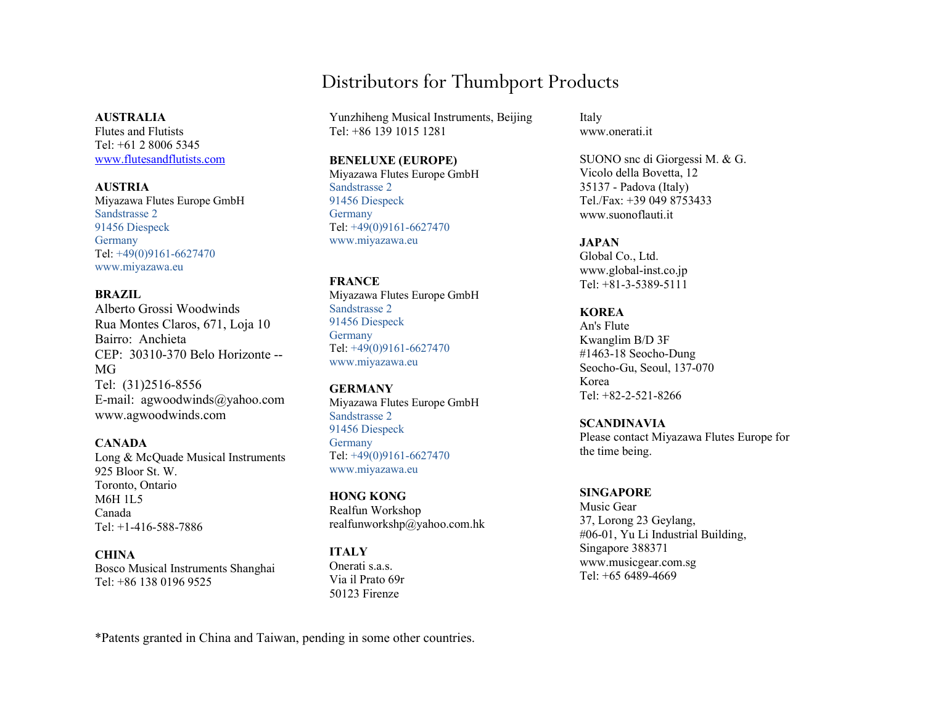# Distributors for Thumbport Products

Yunzhiheng Musical Instruments, Beijing Tel: +86 139 1015 1281

#### BENELUXE (EUROPE)

Miyazawa Flutes Europe GmbH Sandstrasse 2 91456 Diespeck Germany Tel: +49(0)9161-6627470 www.miyazawa.eu

**FRANCE** Miyazawa Flutes Europe GmbH Sandstrasse 2 91456 Diespeck Germany Tel: +49(0)9161-6627470 www.miyazawa.eu

**GERMANY** Miyazawa Flutes Europe GmbH Sandstrasse 2 91456 Diespeck Germany Tel: +49(0)9161-6627470 www.miyazawa.eu

HONG KONG Realfun Workshop realfunworkshp@yahoo.com.hk

ITALY Onerati s.a.s. Via il Prato 69r 50123 Firenze

Italy www.onerati.it

SUONO snc di Giorgessi M. & G. Vicolo della Bovetta, 12 35137 - Padova (Italy) Tel./Fax: +39 049 8753433 www.suonoflauti.it

# **JAPAN**

Global Co., Ltd. www.global-inst.co.jp Tel: +81-3-5389-5111

# KOREA

An's Flute Kwanglim B/D 3F #1463-18 Seocho-Dung Seocho-Gu, Seoul, 137-070 Korea Tel: +82-2-521-8266

SCANDINAVIA Please contact Miyazawa Flutes Europe for the time being.

SINGAPORE Music Gear 37, Lorong 23 Geylang, #06-01, Yu Li Industrial Building, Singapore 388371 www.musicgear.com.sg Tel: +65 6489-4669

#### AUSTRALIA

Flutes and Flutists Tel: +61 2 8006 5345 www.flutesandflutists.com

AUSTRIA Miyazawa Flutes Europe GmbH Sandstrasse 2 91456 Diespeck Germany Tel: +49(0)9161-6627470 www.miyazawa.eu

### BRAZIL

Alberto Grossi Woodwinds Rua Montes Claros, 671, Loja 10 Bairro: Anchieta CEP: 30310-370 Belo Horizonte -- MG Tel: (31)2516-8556 E-mail: agwoodwinds@yahoo.com www.agwoodwinds.com

**CANADA** 

Long & McQuade Musical Instruments 925 Bloor St. W. Toronto, Ontario M6H 1L5 Canada Tel: +1-416-588-7886

**CHINA** Bosco Musical Instruments Shanghai Tel: +86 138 0196 9525

\*Patents granted in China and Taiwan, pending in some other countries.